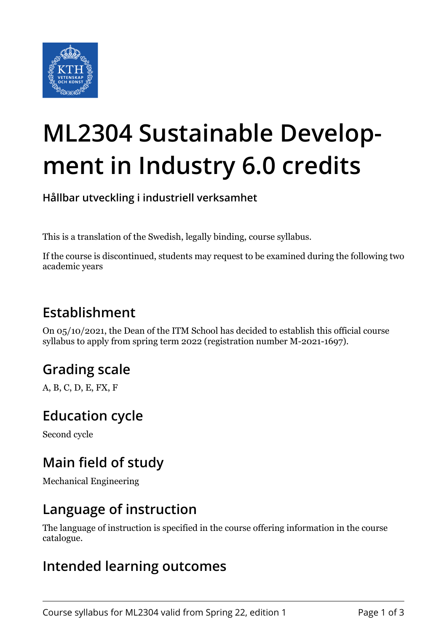

# **ML2304 Sustainable Development in Industry 6.0 credits**

**Hållbar utveckling i industriell verksamhet**

This is a translation of the Swedish, legally binding, course syllabus.

If the course is discontinued, students may request to be examined during the following two academic years

## **Establishment**

On 05/10/2021, the Dean of the ITM School has decided to establish this official course syllabus to apply from spring term 2022 (registration number M-2021-1697).

# **Grading scale**

A, B, C, D, E, FX, F

#### **Education cycle**

Second cycle

## **Main field of study**

Mechanical Engineering

#### **Language of instruction**

The language of instruction is specified in the course offering information in the course catalogue.

#### **Intended learning outcomes**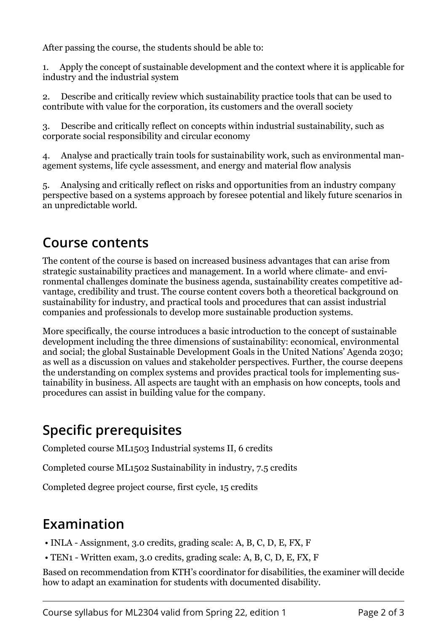After passing the course, the students should be able to:

1. Apply the concept of sustainable development and the context where it is applicable for industry and the industrial system

2. Describe and critically review which sustainability practice tools that can be used to contribute with value for the corporation, its customers and the overall society

3. Describe and critically reflect on concepts within industrial sustainability, such as corporate social responsibility and circular economy

4. Analyse and practically train tools for sustainability work, such as environmental management systems, life cycle assessment, and energy and material flow analysis

5. Analysing and critically reflect on risks and opportunities from an industry company perspective based on a systems approach by foresee potential and likely future scenarios in an unpredictable world.

#### **Course contents**

The content of the course is based on increased business advantages that can arise from strategic sustainability practices and management. In a world where climate- and environmental challenges dominate the business agenda, sustainability creates competitive advantage, credibility and trust. The course content covers both a theoretical background on sustainability for industry, and practical tools and procedures that can assist industrial companies and professionals to develop more sustainable production systems.

More specifically, the course introduces a basic introduction to the concept of sustainable development including the three dimensions of sustainability: economical, environmental and social; the global Sustainable Development Goals in the United Nations' Agenda 2030; as well as a discussion on values and stakeholder perspectives. Further, the course deepens the understanding on complex systems and provides practical tools for implementing sustainability in business. All aspects are taught with an emphasis on how concepts, tools and procedures can assist in building value for the company.

# **Specific prerequisites**

Completed course ML1503 Industrial systems II, 6 credits

Completed course ML1502 Sustainability in industry, 7.5 credits

Completed degree project course, first cycle, 15 credits

# **Examination**

- INLA Assignment, 3.0 credits, grading scale: A, B, C, D, E, FX, F
- TEN1 Written exam, 3.0 credits, grading scale: A, B, C, D, E, FX, F

Based on recommendation from KTH's coordinator for disabilities, the examiner will decide how to adapt an examination for students with documented disability.